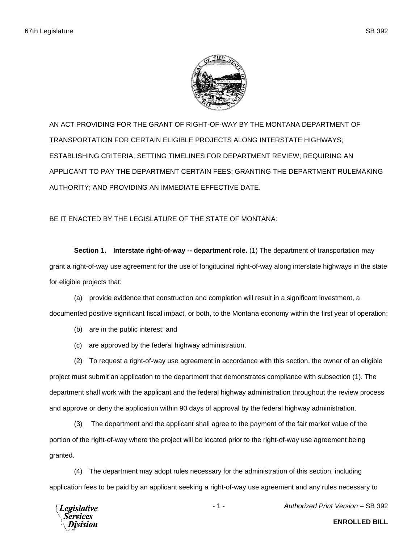

AN ACT PROVIDING FOR THE GRANT OF RIGHT-OF-WAY BY THE MONTANA DEPARTMENT OF TRANSPORTATION FOR CERTAIN ELIGIBLE PROJECTS ALONG INTERSTATE HIGHWAYS; ESTABLISHING CRITERIA; SETTING TIMELINES FOR DEPARTMENT REVIEW; REQUIRING AN APPLICANT TO PAY THE DEPARTMENT CERTAIN FEES; GRANTING THE DEPARTMENT RULEMAKING AUTHORITY; AND PROVIDING AN IMMEDIATE EFFECTIVE DATE.

BE IT ENACTED BY THE LEGISLATURE OF THE STATE OF MONTANA:

**Section 1. Interstate right-of-way -- department role.** (1) The department of transportation may grant a right-of-way use agreement for the use of longitudinal right-of-way along interstate highways in the state for eligible projects that:

(a) provide evidence that construction and completion will result in a significant investment, a documented positive significant fiscal impact, or both, to the Montana economy within the first year of operation;

- (b) are in the public interest; and
- (c) are approved by the federal highway administration.

(2) To request a right-of-way use agreement in accordance with this section, the owner of an eligible project must submit an application to the department that demonstrates compliance with subsection (1). The department shall work with the applicant and the federal highway administration throughout the review process and approve or deny the application within 90 days of approval by the federal highway administration.

(3) The department and the applicant shall agree to the payment of the fair market value of the portion of the right-of-way where the project will be located prior to the right-of-way use agreement being granted.

(4) The department may adopt rules necessary for the administration of this section, including application fees to be paid by an applicant seeking a right-of-way use agreement and any rules necessary to

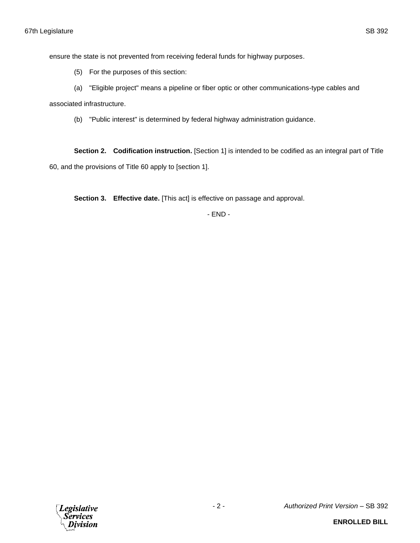ensure the state is not prevented from receiving federal funds for highway purposes.

(5) For the purposes of this section:

(a) "Eligible project" means a pipeline or fiber optic or other communications-type cables and

associated infrastructure.

(b) "Public interest" is determined by federal highway administration guidance.

**Section 2. Codification instruction.** [Section 1] is intended to be codified as an integral part of Title 60, and the provisions of Title 60 apply to [section 1].

**Section 3. Effective date.** [This act] is effective on passage and approval.

- END -

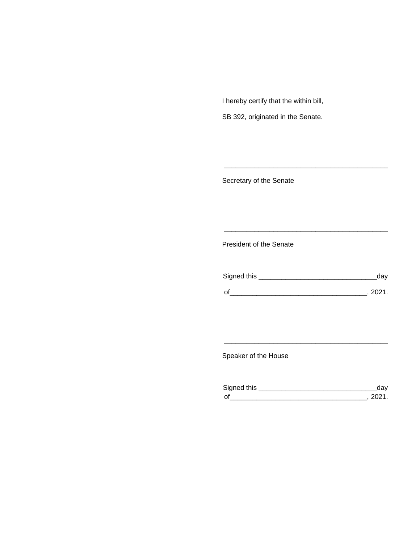I hereby certify that the within bill,

SB 392, originated in the Senate.

Secretary of the Senate

President of the Senate

| Signed this |        |
|-------------|--------|
|             |        |
| $\Omega$    | 111111 |

\_\_\_\_\_\_\_\_\_\_\_\_\_\_\_\_\_\_\_\_\_\_\_\_\_\_\_\_\_\_\_\_\_\_\_\_\_\_\_\_\_\_\_

\_\_\_\_\_\_\_\_\_\_\_\_\_\_\_\_\_\_\_\_\_\_\_\_\_\_\_\_\_\_\_\_\_\_\_\_\_\_\_\_\_\_\_

Speaker of the House

| Sianed this |  |
|-------------|--|
| $\Omega$    |  |

\_\_\_\_\_\_\_\_\_\_\_\_\_\_\_\_\_\_\_\_\_\_\_\_\_\_\_\_\_\_\_\_\_\_\_\_\_\_\_\_\_\_\_